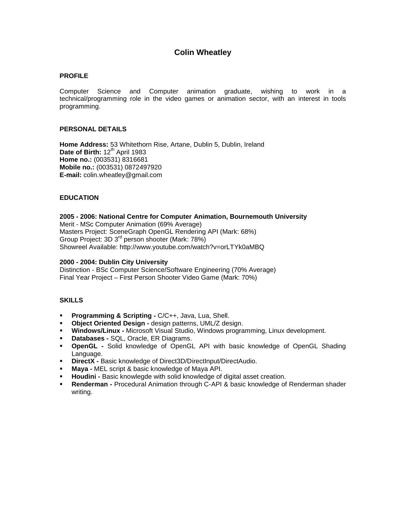# **Colin Wheatley**

#### **PROFILE**

Computer Science and Computer animation graduate, wishing to work in a technical/programming role in the video games or animation sector, with an interest in tools programming.

## **PERSONAL DETAILS**

**Home Address:** 53 Whitethorn Rise, Artane, Dublin 5, Dublin, Ireland Date of Birth: 12<sup>th</sup> April 1983 **Home no.:** (003531) 8316681 **Mobile no.:** (003531) 0872497920 **E-mail:** colin.wheatley@gmail.com

## **EDUCATION**

#### **2005 - 2006: National Centre for Computer Animation, Bournemouth University**

Merit - MSc Computer Animation (69% Average) Masters Project: SceneGraph OpenGL Rendering API (Mark: 68%) Group Project: 3D 3rd person shooter (Mark: 78%) Showreel Available: http://www.youtube.com/watch?v=orLTYk0aMBQ

#### **2000 - 2004: Dublin City University**

Distinction - BSc Computer Science/Software Engineering (70% Average) Final Year Project – First Person Shooter Video Game (Mark: 70%)

## **SKILLS**

- **Programming & Scripting -** C/C++, Java, Lua, Shell.
- **Object Oriented Design -** design patterns, UML/Z design.
- **Windows/Linux -** Microsoft Visual Studio, Windows programming, Linux development.
- **Databases -** SQL, Oracle, ER Diagrams.
- **OpenGL -** Solid knowledge of OpenGL API with basic knowledge of OpenGL Shading Language.
- **DirectX** Basic knowledge of Direct3D/DirectInput/DirectAudio.
- **Maya -** MEL script & basic knowledge of Maya API.
- **Houdini -** Basic knowlegde with solid knowledge of digital asset creation.
- **Renderman -** Procedural Animation through C-API & basic knowledge of Renderman shader writing.